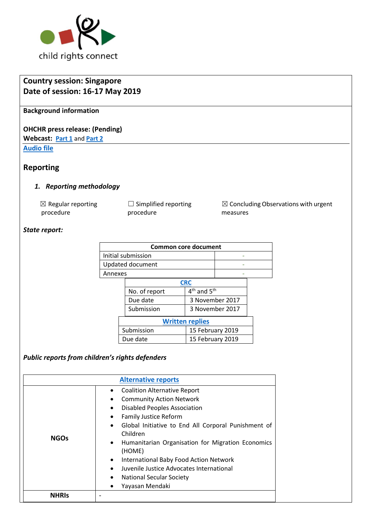

# **Country session: Singapore Date of session: 16-17 May 2019**

**Background information**

**OHCHR press release: (Pending) Webcast: [Part 1](http://webtv.un.org/meetings-events/human-rights-treaty-bodies/committee-on-the-rights-of-the-child/81st-session/watch/consideration-of-singapore-2378th-meeting-81st-session-committee-on-the-rights-of-the-child/6038002893001)** and **[Part 2](http://webtv.un.org/meetings-events/human-rights-treaty-bodies/committee-on-the-rights-of-the-child/81st-session/watch/consideration-of-singapore-contd-2379th-meeting-81st-session-committee-on-the-rights-of-the-child/6038213825001/?term=)**

**[Audio file](https://conf.unog.ch/digitalrecordings/)**

#### **Reporting**

#### *1. Reporting methodology*

| $\boxtimes$ Regular reporting |
|-------------------------------|
| procedure                     |

□ Simplified reporting procedure

☒ Concluding Observations with urgent measures

#### *State report:*

| <b>Common core document</b> |                    |                                     |                 |  |  |  |
|-----------------------------|--------------------|-------------------------------------|-----------------|--|--|--|
|                             | Initial submission |                                     |                 |  |  |  |
| Updated document            |                    |                                     |                 |  |  |  |
| Annexes                     |                    |                                     |                 |  |  |  |
|                             | <b>CRC</b>         |                                     |                 |  |  |  |
|                             | No. of report      | 4 <sup>th</sup> and 5 <sup>th</sup> |                 |  |  |  |
|                             | Due date           |                                     | 3 November 2017 |  |  |  |
|                             | Submission         |                                     | 3 November 2017 |  |  |  |
| <b>Written replies</b>      |                    |                                     |                 |  |  |  |
| Submission                  |                    | 15 February 2019                    |                 |  |  |  |
| Due date                    |                    | 15 February 2019                    |                 |  |  |  |

## *Public reports from children's rights defenders*

| <b>Alternative reports</b> |                                                                                                                                                                                                                                                                                                                                                                                                                                                                                                                                                               |  |  |  |
|----------------------------|---------------------------------------------------------------------------------------------------------------------------------------------------------------------------------------------------------------------------------------------------------------------------------------------------------------------------------------------------------------------------------------------------------------------------------------------------------------------------------------------------------------------------------------------------------------|--|--|--|
| <b>NGOs</b>                | <b>Coalition Alternative Report</b><br>$\bullet$<br><b>Community Action Network</b><br>$\bullet$<br><b>Disabled Peoples Association</b><br>$\bullet$<br><b>Family Justice Reform</b><br>$\bullet$<br>Global Initiative to End All Corporal Punishment of<br>$\bullet$<br>Children<br>Humanitarian Organisation for Migration Economics<br>$\bullet$<br>(HOME)<br>International Baby Food Action Network<br>$\bullet$<br>Juvenile Justice Advocates International<br>$\bullet$<br><b>National Secular Society</b><br>$\bullet$<br>Yayasan Mendaki<br>$\bullet$ |  |  |  |
| NHRI<                      |                                                                                                                                                                                                                                                                                                                                                                                                                                                                                                                                                               |  |  |  |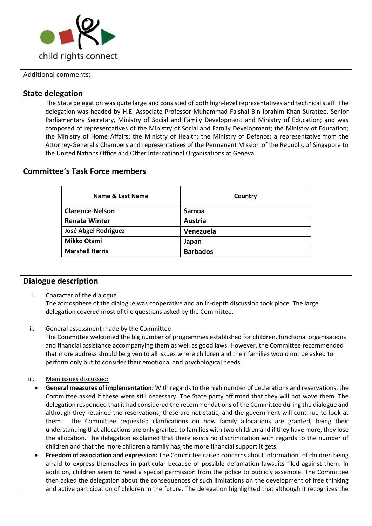

#### Additional comments:

#### **State delegation**

The State delegation was quite large and consisted of both high-level representatives and technical staff. The delegation was headed by H.E. Associate Professor Muhammad Faishal Bin Ibrahim Khan Surattee, Senior Parliamentary Secretary, Ministry of Social and Family Development and Ministry of Education; and was composed of representatives of the Ministry of Social and Family Development; the Ministry of Education; the Ministry of Home Affairs; the Ministry of Health; the Ministry of Defence; a representative from the Attorney-General's Chambers and representatives of the Permanent Mission of the Republic of Singapore to the United Nations Office and Other International Organisations at Geneva.

### **Committee's Task Force members**

| Name & Last Name       | Country         |
|------------------------|-----------------|
| <b>Clarence Nelson</b> | Samoa           |
| <b>Renata Winter</b>   | Austria         |
| José Abgel Rodriguez   | Venezuela       |
| <b>Mikko Otami</b>     | Japan           |
| <b>Marshall Harris</b> | <b>Barbados</b> |

#### **Dialogue description**

- i. Character of the dialogue The atmosphere of the dialogue was cooperative and an in-depth discussion took place. The large delegation covered most of the questions asked by the Committee.
- ii. General assessment made by the Committee

The Committee welcomed the big number of programmes established for children, functional organisations and financial assistance accompanying them as well as good laws. However, the Committee recommended that more address should be given to all issues where children and their families would not be asked to perform only but to consider their emotional and psychological needs.

- iii. Main issues discussed:
	- **General measures of implementation:** With regards to the high number of declarations and reservations, the Committee asked if these were still necessary. The State party affirmed that they will not wave them. The delegation responded that it had considered the recommendations of the Committee during the dialogue and although they retained the reservations, these are not static, and the government will continue to look at them. The Committee requested clarifications on how family allocations are granted, being their understanding that allocations are only granted to families with two children and if they have more, they lose the allocation. The delegation explained that there exists no discrimination with regards to the number of children and that the more children a family has, the more financial support it gets.
	- **Freedom of association and expression:** The Committee raised concerns about information of children being afraid to express themselves in particular because of possible defamation lawsuits filed against them. In addition, children seem to need a special permission from the police to publicly assemble. The Committee then asked the delegation about the consequences of such limitations on the development of free thinking and active participation of children in the future. The delegation highlighted that although it recognizes the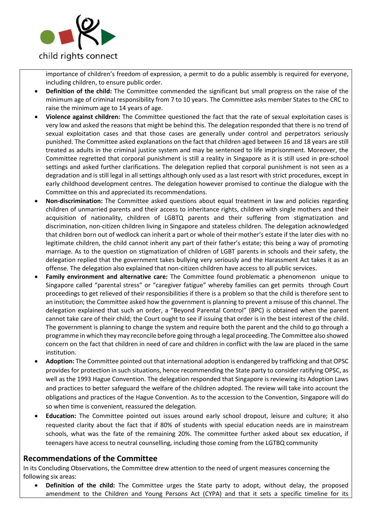

importance of children's freedom of expression, a permit to do a public assembly is required for everyone, including children, to ensure public order.

- **Definition of the child:** The Committee commended the significant but small progress on the raise of the minimum age of criminal responsibility from 7 to 10 years. The Committee asks member States to the CRC to raise the minimum age to 14 years of age.
- **Violence against children:** The Committee questioned the fact that the rate of sexual exploitation cases is very low and asked the reasons that might be behind this. The delegation responded that there is no trend of sexual exploitation cases and that those cases are generally under control and perpetrators seriously punished. The Committee asked explanations on the fact that children aged between 16 and 18 years are still treated as adults in the criminal justice system and may be sentenced to life imprisonment. Moreover, the Committee regretted that corporal punishment is still a reality in Singapore as it is still used in pre-school settings and asked further clarifications. The delegation replied that corporal punishment is not seen as a degradation and is still legal in all settings although only used as a last resort with strict procedures, except in early childhood development centres. The delegation however promised to continue the dialogue with the Committee on this and appreciated its recommendations.
- **Non-discrimination:** The Committee asked questions about equal treatment in law and policies regarding children of unmarried parents and their access to inheritance rights, children with single mothers and their acquisition of nationality, children of LGBTQ parents and their suffering from stigmatization and discrimination, non-citizen children living in Singapore and stateless children. The delegation acknowledged that children born out of wedlock can inherit a part or whole of their mother's estate if the later dies with no legitimate children, the child cannot inherit any part of their father's estate; this being a way of promoting marriage. As to the question on stigmatization of children of LGBT parents in schools and their safety, the delegation replied that the government takes bullying very seriously and the Harassment Act takes it as an offense. The delegation also explained that non-citizen children have access to all public services.
- **Family environment and alternative care:** The Committee found problematic a phenomenon unique to Singapore called "parental stress" or "caregiver fatigue" whereby families can get permits through Court proceedings to get relieved of their responsibilities if there is a problem so that the child is therefore sent to an institution; the Committee asked how the government is planning to prevent a misuse of this channel. The delegation explained that such an order, a "Beyond Parental Control" (BPC) is obtained when the parent cannot take care of their child; the Court ought to see if issuing that order is in the best interest of the child. The government is planning to change the system and require both the parent and the child to go through a programme in which they may reconcile before going through a legal proceeding. The Committee also showed concern on the fact that children in need of care and children in conflict with the law are placed in the same institution.
- **Adoption:** The Committee pointed out that international adoption is endangered by trafficking and that OPSC provides for protection in such situations, hence recommending the State party to consider ratifying OPSC, as well as the 1993 Hague Convention. The delegation responded that Singapore is reviewing its Adoption Laws and practices to better safeguard the welfare of the children adopted. The review will take into account the obligations and practices of the Hague Convention. As to the accession to the Convention, Singapore will do so when time is convenient, reassured the delegation.
- **Education:** The Committee pointed out issues around early school dropout, leisure and culture; it also requested clarity about the fact that if 80% of students with special education needs are in mainstream schools, what was the fate of the remaining 20%. The committee further asked about sex education, if teenagers have access to neutral counselling, including those coming from the LGTBQ community

#### **Recommendations of the Committee**

In its Concluding Observations, the Committee drew attention to the need of urgent measures concerning the following six areas:

• **Definition of the child:** The Committee urges the State party to adopt, without delay, the proposed amendment to the Children and Young Persons Act (CYPA) and that it sets a specific timeline for its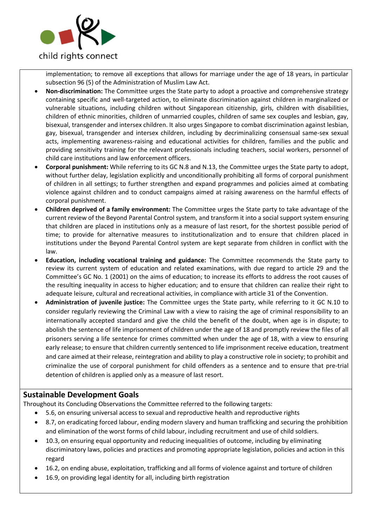

implementation; to remove all exceptions that allows for marriage under the age of 18 years, in particular subsection 96 (5) of the Administration of Muslim Law Act.

- **Non-discrimination:** The Committee urges the State party to adopt a proactive and comprehensive strategy containing specific and well-targeted action, to eliminate discrimination against children in marginalized or vulnerable situations, including children without Singaporean citizenship, girls, children with disabilities, children of ethnic minorities, children of unmarried couples, children of same sex couples and lesbian, gay, bisexual, transgender and intersex children. It also urges Singapore to combat discrimination against lesbian, gay, bisexual, transgender and intersex children, including by decriminalizing consensual same-sex sexual acts, implementing awareness-raising and educational activities for children, families and the public and providing sensitivity training for the relevant professionals including teachers, social workers, personnel of child care institutions and law enforcement officers.
- **Corporal punishment:** While referring to its GC N.8 and N.13, the Committee urges the State party to adopt, without further delay, legislation explicitly and unconditionally prohibiting all forms of corporal punishment of children in all settings; to further strengthen and expand programmes and policies aimed at combating violence against children and to conduct campaigns aimed at raising awareness on the harmful effects of corporal punishment.
- **Children deprived of a family environment:** The Committee urges the State party to take advantage of the current review of the Beyond Parental Control system, and transform it into a social support system ensuring that children are placed in institutions only as a measure of last resort, for the shortest possible period of time; to provide for alternative measures to institutionalization and to ensure that children placed in institutions under the Beyond Parental Control system are kept separate from children in conflict with the law.
- **Education, including vocational training and guidance:** The Committee recommends the State party to review its current system of education and related examinations, with due regard to article 29 and the Committee's GC No. 1 (2001) on the aims of education; to increase its efforts to address the root causes of the resulting inequality in access to higher education; and to ensure that children can realize their right to adequate leisure, cultural and recreational activities, in compliance with article 31 of the Convention.
- **Administration of juvenile justice:** The Committee urges the State party, while referring to it GC N.10 to consider regularly reviewing the Criminal Law with a view to raising the age of criminal responsibility to an internationally accepted standard and give the child the benefit of the doubt, when age is in dispute; to abolish the sentence of life imprisonment of children under the age of 18 and promptly review the files of all prisoners serving a life sentence for crimes committed when under the age of 18, with a view to ensuring early release; to ensure that children currently sentenced to life imprisonment receive education, treatment and care aimed at their release, reintegration and ability to play a constructive role in society; to prohibit and criminalize the use of corporal punishment for child offenders as a sentence and to ensure that pre-trial detention of children is applied only as a measure of last resort.

### **Sustainable Development Goals**

Throughout its Concluding Observations the Committee referred to the following targets:

- 5.6, on ensuring universal access to sexual and reproductive health and reproductive rights
- 8.7, on eradicating forced labour, ending modern slavery and human trafficking and securing the prohibition and elimination of the worst forms of child labour, including recruitment and use of child soldiers.
- 10.3, on ensuring equal opportunity and reducing inequalities of outcome, including by eliminating discriminatory laws, policies and practices and promoting appropriate legislation, policies and action in this regard
- 16.2, on ending abuse, exploitation, trafficking and all forms of violence against and torture of children
- 16.9, on providing legal identity for all, including birth registration